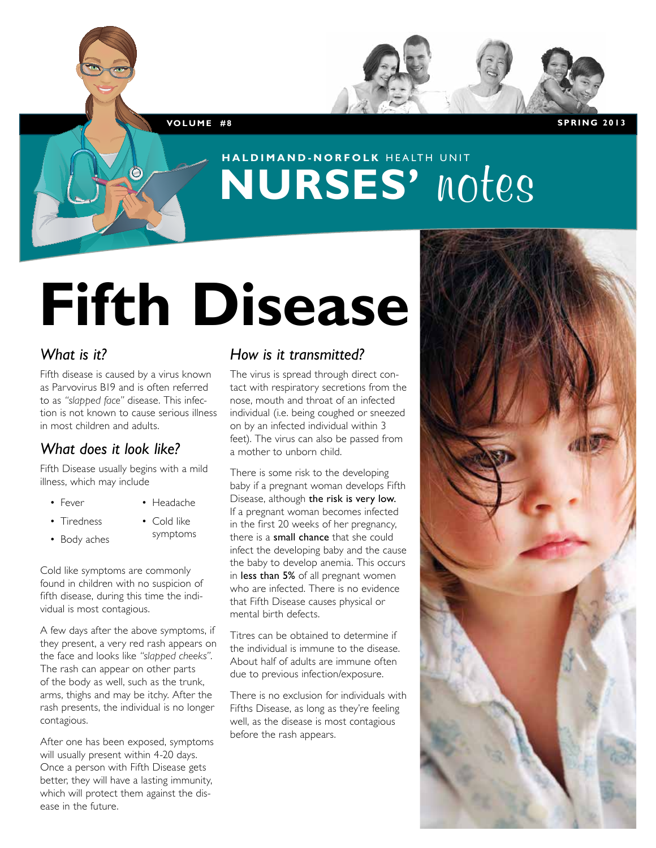**Vol u m e #8 S PRIN G 2013**

# **haldimand-norfolk** HEALTH UNIT **NURSES' notes**

# **Fifth Disease**

#### *What is it?*

Fifth disease is caused by a virus known as Parvovirus B19 and is often referred to as *"slapped face"* disease. This infection is not known to cause serious illness in most children and adults.

#### *What does it look like?*

Fifth Disease usually begins with a mild illness, which may include

- Fever
- Headache

symptoms

- Tiredness
- Cold like
- Body aches

Cold like symptoms are commonly found in children with no suspicion of fifth disease, during this time the individual is most contagious.

A few days after the above symptoms, if they present, a very red rash appears on the face and looks like *"slapped cheeks"*. The rash can appear on other parts of the body as well, such as the trunk, arms, thighs and may be itchy. After the rash presents, the individual is no longer contagious.

After one has been exposed, symptoms will usually present within 4-20 days. Once a person with Fifth Disease gets better, they will have a lasting immunity, which will protect them against the disease in the future.

#### *How is it transmitted?*

The virus is spread through direct contact with respiratory secretions from the nose, mouth and throat of an infected individual (i.e. being coughed or sneezed on by an infected individual within 3 feet). The virus can also be passed from a mother to unborn child.

There is some risk to the developing baby if a pregnant woman develops Fifth Disease, although the risk is very low. If a pregnant woman becomes infected in the first 20 weeks of her pregnancy, there is a small chance that she could infect the developing baby and the cause the baby to develop anemia. This occurs in less than 5% of all pregnant women who are infected. There is no evidence that Fifth Disease causes physical or mental birth defects.

Titres can be obtained to determine if the individual is immune to the disease. About half of adults are immune often due to previous infection/exposure.

There is no exclusion for individuals with Fifths Disease, as long as they're feeling well, as the disease is most contagious before the rash appears.